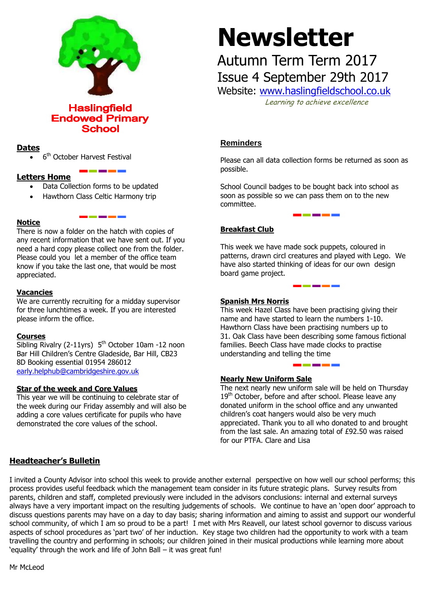

**Haslingfield Endowed Primary School** 

# **Dates**

• 6<sup>th</sup> October Harvest Festival

## **Letters Home**

- Data Collection forms to be updated
- Hawthorn Class Celtic Harmony trip

## **Notice**

There is now a folder on the hatch with copies of any recent information that we have sent out. If you need a hard copy please collect one from the folder. Please could you let a member of the office team know if you take the last one, that would be most appreciated.

<u>sa kacamatan ing Kabupatèn Baga</u>

## **Vacancies**

We are currently recruiting for a midday supervisor for three lunchtimes a week. If you are interested please inform the office.

#### **Courses**

Sibling Rivalry (2-11yrs) 5<sup>th</sup> October 10am -12 noon Bar Hill Children's Centre Gladeside, Bar Hill, CB23 8D Booking essential 01954 286012 [early.helphub@cambridgeshire.gov.uk](mailto:early.helphub@cambridgeshire.gov.uk)

#### **Star of the week and Core Values**

This year we will be continuing to celebrate star of the week during our Friday assembly and will also be adding a core values certificate for pupils who have demonstrated the core values of the school.

# **Newsletter**

# Autumn Term Term 2017

Issue 4 September 29th 2017 Website: [www.haslingfieldschool.co.uk](http://www.haslingfieldschool.co.uk/)

Learning to achieve excellence

# **Reminders**

Please can all data collection forms be returned as soon as possible.

School Council badges to be bought back into school as soon as possible so we can pass them on to the new committee.

\_\_\_\_\_\_\_\_\_\_\_

# **Breakfast Club**

This week we have made sock puppets, coloured in patterns, drawn circl creatures and played with Lego. We have also started thinking of ideas for our own design board game project.

<u> Linda va ka</u>

## **Spanish Mrs Norris**

This week Hazel Class have been practising giving their name and have started to learn the numbers 1-10. Hawthorn Class have been practising numbers up to 31. Oak Class have been describing some famous fictional families. Beech Class have made clocks to practise understanding and telling the time

I

#### **Nearly New Uniform Sale**

The next nearly new uniform sale will be held on Thursday 19<sup>th</sup> October, before and after school. Please leave any donated uniform in the school office and any unwanted children's coat hangers would also be very much appreciated. Thank you to all who donated to and brought from the last sale. An amazing total of £92.50 was raised for our PTFA. Clare and Lisa

# **Headteacher's Bulletin**

I invited a County Advisor into school this week to provide another external perspective on how well our school performs; this process provides useful feedback which the management team consider in its future strategic plans. Survey results from parents, children and staff, completed previously were included in the advisors conclusions: internal and external surveys always have a very important impact on the resulting judgements of schools. We continue to have an 'open door' approach to discuss questions parents may have on a day to day basis; sharing information and aiming to assist and support our wonderful school community, of which I am so proud to be a part! I met with Mrs Reavell, our latest school governor to discuss various aspects of school procedures as 'part two' of her induction. Key stage two children had the opportunity to work with a team travelling the country and performing in schools; our children joined in their musical productions while learning more about 'equality' through the work and life of John Ball – it was great fun!

Mr McLeod